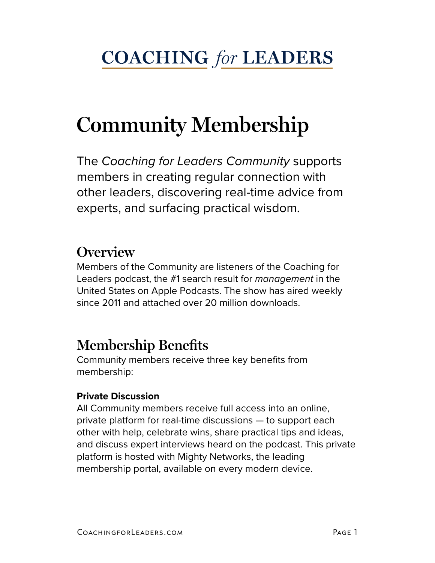# **Community Membership**

The *Coaching for Leaders Community* supports members in creating regular connection with other leaders, discovering real-time advice from experts, and surfacing practical wisdom.

### **Overview**

Members of the Community are listeners of the Coaching for Leaders podcast, the #1 search result for *management* in the United States on Apple Podcasts. The show has aired weekly since 2011 and attached over 20 million downloads.

## **Membership Benefits**

Community members receive three key benefits from membership:

#### **Private Discussion**

All Community members receive full access into an online, private platform for real-time discussions — to support each other with help, celebrate wins, share practical tips and ideas, and discuss expert interviews heard on the podcast. This private platform is hosted with Mighty Networks, the leading membership portal, available on every modern device.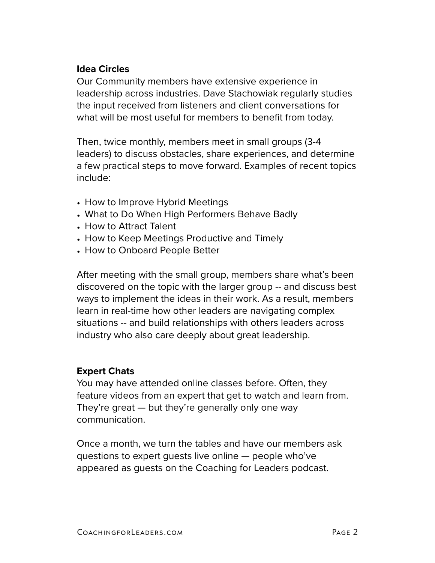#### **Idea Circles**

Our Community members have extensive experience in leadership across industries. Dave Stachowiak regularly studies the input received from listeners and client conversations for what will be most useful for members to benefit from today.

Then, twice monthly, members meet in small groups (3-4 leaders) to discuss obstacles, share experiences, and determine a few practical steps to move forward. Examples of recent topics include:

- How to Improve Hybrid Meetings
- What to Do When High Performers Behave Badly
- How to Attract Talent
- How to Keep Meetings Productive and Timely
- How to Onboard People Better

After meeting with the small group, members share what's been discovered on the topic with the larger group -- and discuss best ways to implement the ideas in their work. As a result, members learn in real-time how other leaders are navigating complex situations -- and build relationships with others leaders across industry who also care deeply about great leadership.

#### **Expert Chats**

You may have attended online classes before. Often, they feature videos from an expert that get to watch and learn from. They're great — but they're generally only one way communication.

Once a month, we turn the tables and have our members ask questions to expert guests live online — people who've appeared as guests on the Coaching for Leaders podcast.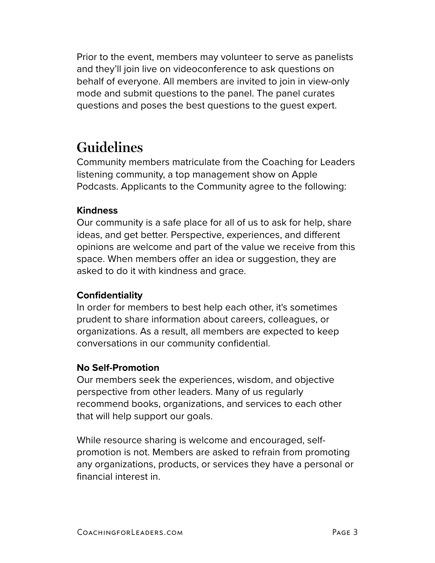Prior to the event, members may volunteer to serve as panelists and they'll join live on videoconference to ask questions on behalf of everyone. All members are invited to join in view-only mode and submit questions to the panel. The panel curates questions and poses the best questions to the guest expert.

### **Guidelines**

Community members matriculate from the Coaching for Leaders listening community, a top management show on Apple Podcasts. Applicants to the Community agree to the following:

#### **Kindness**

Our community is a safe place for all of us to ask for help, share ideas, and get better. Perspective, experiences, and different opinions are welcome and part of the value we receive from this space. When members offer an idea or suggestion, they are asked to do it with kindness and grace.

#### **Confidentiality**

In order for members to best help each other, it's sometimes prudent to share information about careers, colleagues, or organizations. As a result, all members are expected to keep conversations in our community confidential.

#### **No Self-Promotion**

Our members seek the experiences, wisdom, and objective perspective from other leaders. Many of us regularly recommend books, organizations, and services to each other that will help support our goals.

While resource sharing is welcome and encouraged, selfpromotion is not. Members are asked to refrain from promoting any organizations, products, or services they have a personal or financial interest in.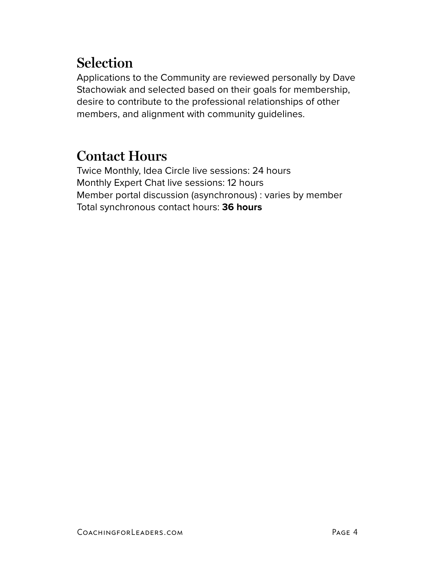## **Selection**

Applications to the Community are reviewed personally by Dave Stachowiak and selected based on their goals for membership, desire to contribute to the professional relationships of other members, and alignment with community guidelines.

### **Contact Hours**

Twice Monthly, Idea Circle live sessions: 24 hours Monthly Expert Chat live sessions: 12 hours Member portal discussion (asynchronous) : varies by member Total synchronous contact hours: **36 hours**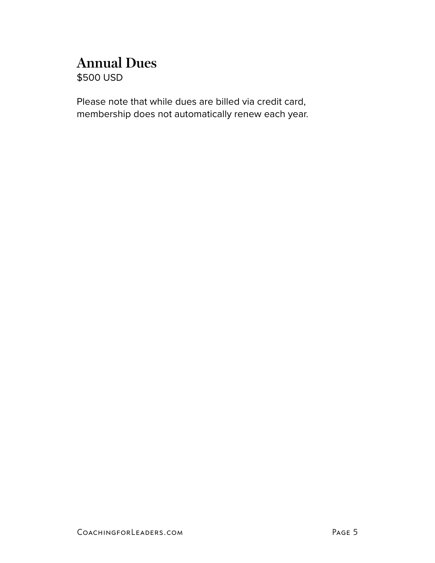### **Annual Dues** \$500 USD

Please note that while dues are billed via credit card, membership does not automatically renew each year.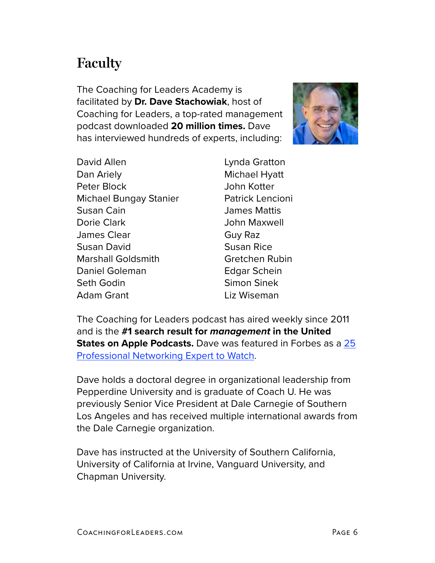### **Faculty**

The Coaching for Leaders Academy is facilitated by **Dr. Dave Stachowiak**, host of Coaching for Leaders, a top-rated management podcast downloaded **20 million times.** Dave has interviewed hundreds of experts, including:



David Allen Dan Ariely Peter Block Michael Bungay Stanier Susan Cain Dorie Clark James Clear Susan David Marshall Goldsmith Daniel Goleman Seth Godin Adam Grant

Lynda Gratton Michael Hyatt John Kotter Patrick Lencioni James Mattis John Maxwell Guy Raz Susan Rice Gretchen Rubin Edgar Schein Simon Sinek Liz Wiseman

The Coaching for Leaders podcast has aired weekly since 2011 and is the **#1 search result for** *management* **in the United States on Apple Podcasts.** Dave was featured in Forbes as a [25](http://www.forbes.com/sites/johncorcoran/2015/01/08/25-professional-networking-experts-to-watch-in-2015/)  [Professional Networking Expert to Watch.](http://www.forbes.com/sites/johncorcoran/2015/01/08/25-professional-networking-experts-to-watch-in-2015/)

Dave holds a doctoral degree in organizational leadership from Pepperdine University and is graduate of Coach U. He was previously Senior Vice President at Dale Carnegie of Southern Los Angeles and has received multiple international awards from the Dale Carnegie organization.

Dave has instructed at the University of Southern California, University of California at Irvine, Vanguard University, and Chapman University.